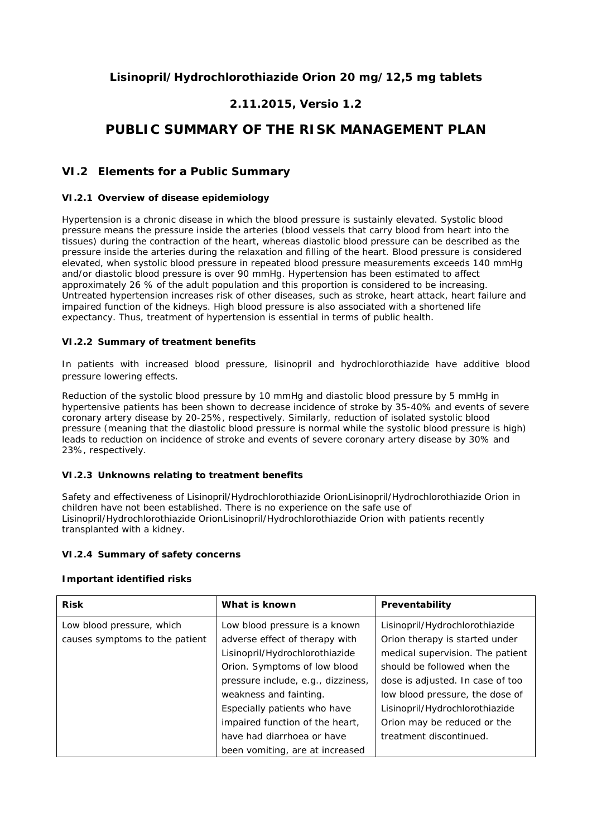## **Lisinopril/Hydrochlorothiazide Orion 20 mg/12,5 mg tablets**

## **2.11.2015, Versio 1.2**

# **PUBLIC SUMMARY OF THE RISK MANAGEMENT PLAN**

### **VI.2 Elements for a Public Summary**

#### *VI.2.1 Overview of disease epidemiology*

Hypertension is a chronic disease in which the blood pressure is sustainly elevated. Systolic blood pressure means the pressure inside the arteries (blood vessels that carry blood from heart into the tissues) during the contraction of the heart, whereas diastolic blood pressure can be described as the pressure inside the arteries during the relaxation and filling of the heart. Blood pressure is considered elevated, when systolic blood pressure in repeated blood pressure measurements exceeds 140 mmHg and/or diastolic blood pressure is over 90 mmHg. Hypertension has been estimated to affect approximately 26 % of the adult population and this proportion is considered to be increasing. Untreated hypertension increases risk of other diseases, such as stroke, heart attack, heart failure and impaired function of the kidneys. High blood pressure is also associated with a shortened life expectancy. Thus, treatment of hypertension is essential in terms of public health.

#### *VI.2.2 Summary of treatment benefits*

In patients with increased blood pressure, lisinopril and hydrochlorothiazide have additive blood pressure lowering effects.

Reduction of the systolic blood pressure by 10 mmHg and diastolic blood pressure by 5 mmHg in hypertensive patients has been shown to decrease incidence of stroke by 35-40% and events of severe coronary artery disease by 20-25%, respectively. Similarly, reduction of isolated systolic blood pressure (meaning that the diastolic blood pressure is normal while the systolic blood pressure is high) leads to reduction on incidence of stroke and events of severe coronary artery disease by 30% and 23%, respectively.

#### *VI.2.3 Unknowns relating to treatment benefits*

Safety and effectiveness of Lisinopril/Hydrochlorothiazide OrionLisinopril/Hydrochlorothiazide Orion in children have not been established. There is no experience on the safe use of Lisinopril/Hydrochlorothiazide OrionLisinopril/Hydrochlorothiazide Orion with patients recently transplanted with a kidney.

#### *VI.2.4 Summary of safety concerns*

#### **Important identified risks**

| <b>Risk</b>                    | What is known                      | Preventability                   |
|--------------------------------|------------------------------------|----------------------------------|
| Low blood pressure, which      | Low blood pressure is a known      | Lisinopril/Hydrochlorothiazide   |
| causes symptoms to the patient | adverse effect of therapy with     | Orion therapy is started under   |
|                                | Lisinopril/Hydrochlorothiazide     | medical supervision. The patient |
|                                | Orion. Symptoms of low blood       | should be followed when the      |
|                                | pressure include, e.g., dizziness, | dose is adjusted. In case of too |
|                                | weakness and fainting.             | low blood pressure, the dose of  |
|                                | Especially patients who have       | Lisinopril/Hydrochlorothiazide   |
|                                | impaired function of the heart,    | Orion may be reduced or the      |
|                                | have had diarrhoea or have         | treatment discontinued.          |
|                                | been vomiting, are at increased    |                                  |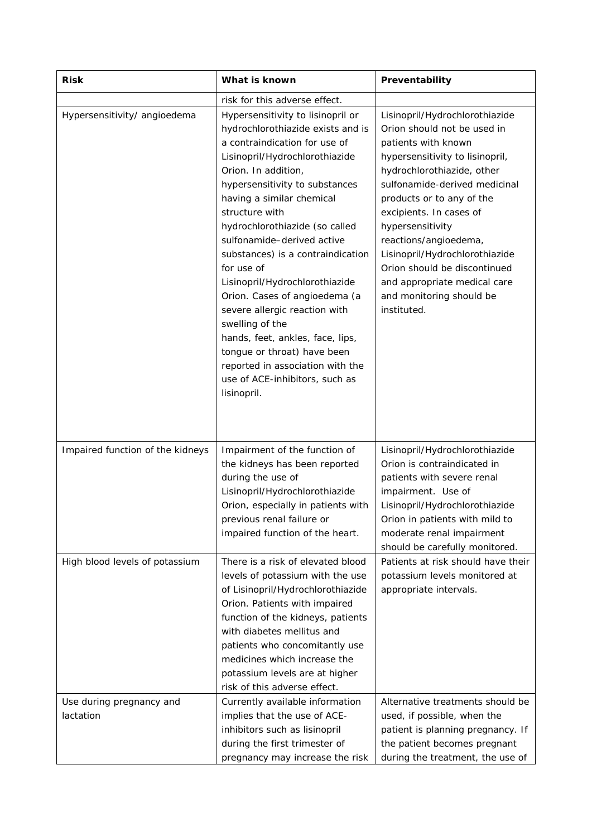| <b>Risk</b>                                                | What is known                                                                                                                                                                                                                                                                                                                                                                                                                                                                                                                                                                                                                                       | Preventability                                                                                                                                                                                                                                                                                                                                                                                                                           |
|------------------------------------------------------------|-----------------------------------------------------------------------------------------------------------------------------------------------------------------------------------------------------------------------------------------------------------------------------------------------------------------------------------------------------------------------------------------------------------------------------------------------------------------------------------------------------------------------------------------------------------------------------------------------------------------------------------------------------|------------------------------------------------------------------------------------------------------------------------------------------------------------------------------------------------------------------------------------------------------------------------------------------------------------------------------------------------------------------------------------------------------------------------------------------|
|                                                            | risk for this adverse effect.                                                                                                                                                                                                                                                                                                                                                                                                                                                                                                                                                                                                                       |                                                                                                                                                                                                                                                                                                                                                                                                                                          |
| Hypersensitivity/ angioedema                               | Hypersensitivity to lisinopril or<br>hydrochlorothiazide exists and is<br>a contraindication for use of<br>Lisinopril/Hydrochlorothiazide<br>Orion. In addition,<br>hypersensitivity to substances<br>having a similar chemical<br>structure with<br>hydrochlorothiazide (so called<br>sulfonamide-derived active<br>substances) is a contraindication<br>for use of<br>Lisinopril/Hydrochlorothiazide<br>Orion. Cases of angioedema (a<br>severe allergic reaction with<br>swelling of the<br>hands, feet, ankles, face, lips,<br>tongue or throat) have been<br>reported in association with the<br>use of ACE-inhibitors, such as<br>lisinopril. | Lisinopril/Hydrochlorothiazide<br>Orion should not be used in<br>patients with known<br>hypersensitivity to lisinopril,<br>hydrochlorothiazide, other<br>sulfonamide-derived medicinal<br>products or to any of the<br>excipients. In cases of<br>hypersensitivity<br>reactions/angioedema,<br>Lisinopril/Hydrochlorothiazide<br>Orion should be discontinued<br>and appropriate medical care<br>and monitoring should be<br>instituted. |
| Impaired function of the kidneys                           | Impairment of the function of<br>the kidneys has been reported<br>during the use of<br>Lisinopril/Hydrochlorothiazide<br>Orion, especially in patients with<br>previous renal failure or<br>impaired function of the heart.                                                                                                                                                                                                                                                                                                                                                                                                                         | Lisinopril/Hydrochlorothiazide<br>Orion is contraindicated in<br>patients with severe renal<br>impairment. Use of<br>Lisinopril/Hydrochlorothiazide<br>Orion in patients with mild to<br>moderate renal impairment<br>should be carefully monitored.                                                                                                                                                                                     |
| High blood levels of potassium<br>Use during pregnancy and | There is a risk of elevated blood<br>levels of potassium with the use<br>of Lisinopril/Hydrochlorothiazide<br>Orion. Patients with impaired<br>function of the kidneys, patients<br>with diabetes mellitus and<br>patients who concomitantly use<br>medicines which increase the<br>potassium levels are at higher<br>risk of this adverse effect.<br>Currently available information                                                                                                                                                                                                                                                               | Patients at risk should have their<br>potassium levels monitored at<br>appropriate intervals.<br>Alternative treatments should be                                                                                                                                                                                                                                                                                                        |
| lactation                                                  | implies that the use of ACE-<br>inhibitors such as lisinopril<br>during the first trimester of<br>pregnancy may increase the risk                                                                                                                                                                                                                                                                                                                                                                                                                                                                                                                   | used, if possible, when the<br>patient is planning pregnancy. If<br>the patient becomes pregnant<br>during the treatment, the use of                                                                                                                                                                                                                                                                                                     |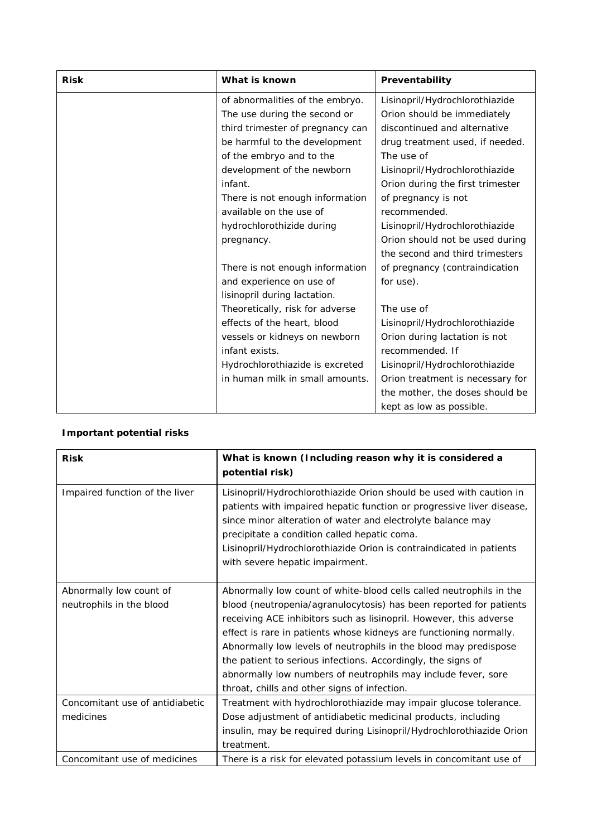| <b>Risk</b> | What is known                    | Preventability                   |
|-------------|----------------------------------|----------------------------------|
|             | of abnormalities of the embryo.  | Lisinopril/Hydrochlorothiazide   |
|             | The use during the second or     | Orion should be immediately      |
|             | third trimester of pregnancy can | discontinued and alternative     |
|             | be harmful to the development    | drug treatment used, if needed.  |
|             | of the embryo and to the         | The use of                       |
|             | development of the newborn       | Lisinopril/Hydrochlorothiazide   |
|             | infant.                          | Orion during the first trimester |
|             | There is not enough information  | of pregnancy is not              |
|             | available on the use of          | recommended.                     |
|             | hydrochlorothizide during        | Lisinopril/Hydrochlorothiazide   |
|             | pregnancy.                       | Orion should not be used during  |
|             |                                  | the second and third trimesters  |
|             | There is not enough information  | of pregnancy (contraindication   |
|             | and experience on use of         | for use).                        |
|             | lisinopril during lactation.     |                                  |
|             | Theoretically, risk for adverse  | The use of                       |
|             | effects of the heart, blood      | Lisinopril/Hydrochlorothiazide   |
|             | vessels or kidneys on newborn    | Orion during lactation is not    |
|             | infant exists.                   | recommended. If                  |
|             | Hydrochlorothiazide is excreted  | Lisinopril/Hydrochlorothiazide   |
|             | in human milk in small amounts.  | Orion treatment is necessary for |
|             |                                  | the mother, the doses should be  |
|             |                                  | kept as low as possible.         |

# **Important potential risks**

| <b>Risk</b>                                         | What is known (Including reason why it is considered a<br>potential risk)                                                                                                                                                                                                                                                                                                                                                                                                                                                                  |
|-----------------------------------------------------|--------------------------------------------------------------------------------------------------------------------------------------------------------------------------------------------------------------------------------------------------------------------------------------------------------------------------------------------------------------------------------------------------------------------------------------------------------------------------------------------------------------------------------------------|
| Impaired function of the liver                      | Lisinopril/Hydrochlorothiazide Orion should be used with caution in<br>patients with impaired hepatic function or progressive liver disease,<br>since minor alteration of water and electrolyte balance may<br>precipitate a condition called hepatic coma.<br>Lisinopril/Hydrochlorothiazide Orion is contraindicated in patients<br>with severe hepatic impairment.                                                                                                                                                                      |
| Abnormally low count of<br>neutrophils in the blood | Abnormally low count of white-blood cells called neutrophils in the<br>blood (neutropenia/agranulocytosis) has been reported for patients<br>receiving ACE inhibitors such as lisinopril. However, this adverse<br>effect is rare in patients whose kidneys are functioning normally.<br>Abnormally low levels of neutrophils in the blood may predispose<br>the patient to serious infections. Accordingly, the signs of<br>abnormally low numbers of neutrophils may include fever, sore<br>throat, chills and other signs of infection. |
| Concomitant use of antidiabetic<br>medicines        | Treatment with hydrochlorothiazide may impair glucose tolerance.<br>Dose adjustment of antidiabetic medicinal products, including<br>insulin, may be required during Lisinopril/Hydrochlorothiazide Orion<br>treatment.                                                                                                                                                                                                                                                                                                                    |
| Concomitant use of medicines                        | There is a risk for elevated potassium levels in concomitant use of                                                                                                                                                                                                                                                                                                                                                                                                                                                                        |